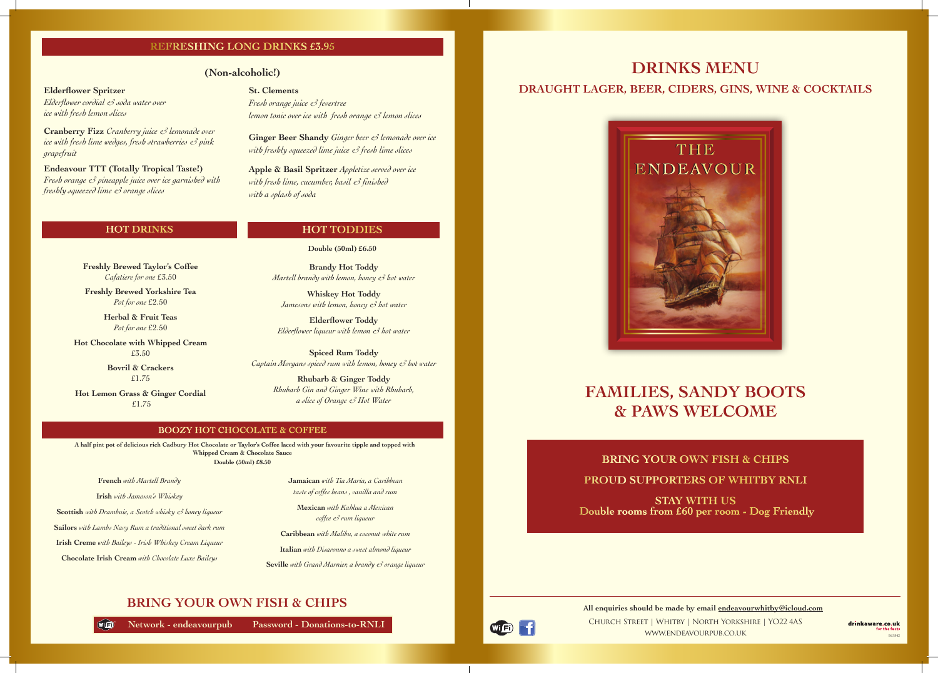### **BRING YOUR OWN FISH & CHIPS**

 $W =$ 

**Network - endeavourpub Password - Donations-to-RNLI**

### **BOOZY HOT CHOCOLATE & COFFEE**

 **A half pint pot of delicious rich Cadbury Hot Chocolate or Taylor's Coffee laced with your favourite tipple and topped with Whipped Cream & Chocolate Sauce Double (50ml) £8.50**

**French** *with Martell Brandy*

**Irish** *with Jameson's Whiskey* 

**Scottish** *with Drambuie, a Scotch whisky & honey liqueur* 

**Sailors** *with Lambs Navy Rum a traditional sweet dark rum* 

**Irish Creme** *with Baileys - Irish Whiskey Cream Liqueur* 

**Chocolate Irish Cream** *with Chocolate Luxe Baileys*

**Jamaican** *with Tia Maria, a Caribbean taste of coffee beans , vanilla and rum* 

**Mexican** *with Kahlua a Mexican coffee & rum liqueur* 

**Caribbean** *with Malibu, a coconut white rum* 

# **Elderflower Spritzer St. Clements St. Clements** *St. Clements* **DRAUGHT LAGER, BEER, CIDERS, GINS, WINE & COCKTAILS**

**Italian** *with Disaronno a sweet almond liqueur* 

**Seville** *with Grand Marnier, a brandy & orange liqueur*

**Brandy Hot Toddy** *Martell brandy with lemon, honey & hot water*

**Whiskey Hot Toddy**  *Jamesons with lemon, honey & hot water*

**Elderflower Toddy**  *Elderflower liqueur with lemon & hot water*

**Spiced Rum Toddy** *Captain Morgans spiced rum with lemon, honey & hot water*

> Church Street | Whitby | North Yorkshire | YO22 4AS www.endeavourpub.co.uk **all enquiries should be made by email endeavourwhitby@icloud.com**

**Rhubarb & Ginger Toddy**  *Rhubarb Gin and Ginger Wine with Rhubarb, a slice of Orange & Hot Water*

### **HOT TODDIES**

**Double (50ml) £6.50**

# **FAMILIES, SANDY BOOTS & PAWS WELCOME**

## **BRING YOUR OWN FISH & CHIPS PROUD SUPPORTERS OF WHITBY RNLI**

**STAY WITH US Double rooms from £60 per room - Dog Friendly**

(Wi Fi)

**DRINKS MENU**



*Elderflower cordial & soda water over* 

*ice with fresh lemon slices*

**Cranberry Fizz** *Cranberry juice & lemonade over ice with fresh lime wedges, fresh strawberries & pink grapefruit*

**Endeavour TTT (Totally Tropical Taste!)** *Fresh orange & pineapple juice over ice garnished with freshly squeezed lime & orange slices* 

**St. Clements**  *Fresh orange juice & fevertree lemon tonic over ice with fresh orange & lemon slices*

**Ginger Beer Shandy** *Ginger beer & lemonade over ice with freshly squeezed lime juice & fresh lime slices*

**Apple & Basil Spritzer** *Appletize served over ice with fresh lime, cucumber, basil & finished with a splash of soda*

### **REFRESHING LONG DRINKS £3.95**

### **(Non-alcoholic!)**

### **HOT DRINKS**

**Freshly Brewed Taylor's Coffee**  *Cafatiere for one* £3.50

**Freshly Brewed Yorkshire Tea** *Pot for one* £2.50

> **Herbal & Fruit Teas**  *Pot for one* £2.50

**Hot Chocolate with Whipped Cream** £3.50

> **Bovril & Crackers** £1.75

**Hot Lemon Grass & Ginger Cordial** £1.75